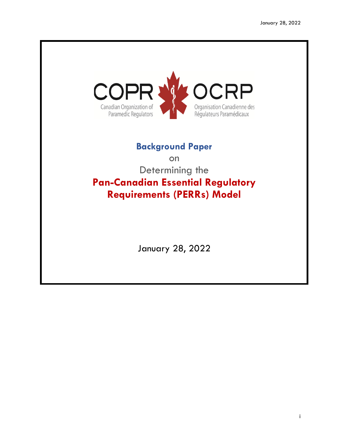

# **Background Paper**

on Determining the **Pan-Canadian Essential Regulatory Requirements (PERRs) Model**

January 28, 2022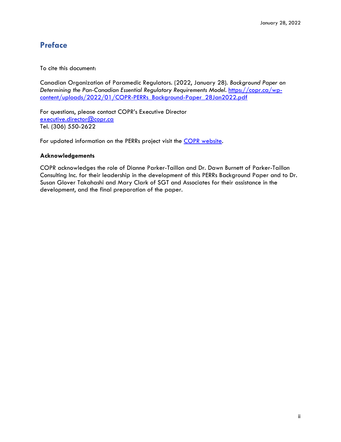## <span id="page-1-0"></span>**Preface**

To cite this document:

Canadian Organization of Paramedic Regulators. (2022, January 28). *Background Paper on Determining the Pan-Canadian Essential Regulatory Requirements Model*. [https://copr.ca/wp](https://copr.ca/wp-content/uploads/2022/01/COPR-PERRs_Background-Paper_28Jan2022.pdf)[content/uploads/2022/01/COPR-PERRs\\_Background-Paper\\_28Jan2022.pdf](https://copr.ca/wp-content/uploads/2022/01/COPR-PERRs_Background-Paper_28Jan2022.pdf)

For questions, please contact COPR's Executive Director [executive.director@copr.ca](mailto:executive.director@copr.ca) Tel. (306) 550-2622

For updated information on the PERRs project visit the **COPR** website.

### **Acknowledgements**

COPR acknowledges the role of Dianne Parker-Taillon and Dr. Dawn Burnett of Parker-Taillon Consulting Inc. for their leadership in the development of this PERRs Background Paper and to Dr. Susan Glover Takahashi and Mary Clark of SGT and Associates for their assistance in the development, and the final preparation of the paper.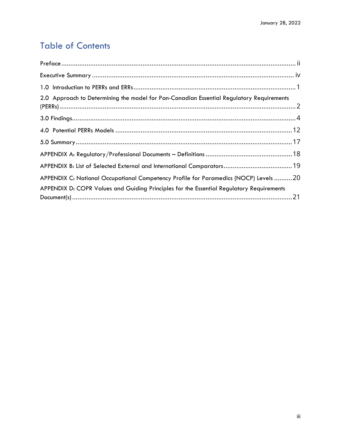# Table of Contents

| 2.0 Approach to Determining the model for Pan-Canadian Essential Regulatory Requirements |  |
|------------------------------------------------------------------------------------------|--|
|                                                                                          |  |
|                                                                                          |  |
|                                                                                          |  |
|                                                                                          |  |
|                                                                                          |  |
| APPENDIX C: National Occupational Competency Profile for Paramedics (NOCP) Levels 20     |  |
| APPENDIX D: COPR Values and Guiding Principles for the Essential Regulatory Requirements |  |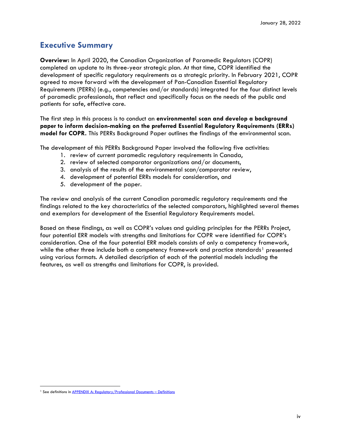## <span id="page-3-0"></span>**Executive Summary**

**Overview:** In April 2020, the Canadian Organization of Paramedic Regulators (COPR) completed an update to its three-year strategic plan. At that time, COPR identified the development of specific regulatory requirements as a strategic priority. In February 2021, COPR agreed to move forward with the development of Pan-Canadian Essential Regulatory Requirements (PERRs) (e.g., competencies and/or standards) integrated for the four distinct levels of paramedic professionals, that reflect and specifically focus on the needs of the public and patients for safe, effective care.

The first step in this process is to conduct an **environmental scan and develop a background paper to inform decision-making on the preferred Essential Regulatory Requirements (ERRs) model for COPR.** This PERRs Background Paper outlines the findings of the environmental scan.

The development of this PERRs Background Paper involved the following five activities:

- 1. review of current paramedic regulatory requirements in Canada,
- 2. review of selected comparator organizations and/or documents,
- 3. analysis of the results of the environmental scan/comparator review,
- 4. development of potential ERRs models for consideration, and
- 5. development of the paper.

The review and analysis of the current Canadian paramedic regulatory requirements and the findings related to the key characteristics of the selected comparators, highlighted several themes and exemplars for development of the Essential Regulatory Requirements model.

Based on these findings, as well as COPR's values and guiding principles for the PERRs Project, four potential ERR models with strengths and limitations for COPR were identified for COPR's consideration. One of the four potential ERR models consists of only a competency framework, while the other three include both a competency framework and practice standards<sup>[1](#page-3-1)</sup> presented using various formats. A detailed description of each of the potential models including the features, as well as strengths and limitations for COPR, is provided.

<span id="page-3-1"></span><sup>&</sup>lt;sup>1</sup> See definitions in **APPENDIX A: Regulatory/Professional Documents – Definitions**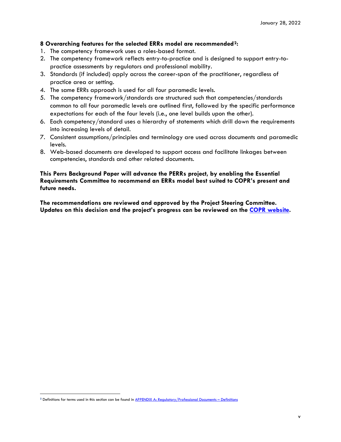### **8 Overarching features for the selected ERRs model are recommended[2:](#page-4-0)**

- 1. The competency framework uses a roles-based format.
- 2. The competency framework reflects entry-to-practice and is designed to support entry-topractice assessments by regulators and professional mobility.
- 3. Standards (if included) apply across the career-span of the practitioner, regardless of practice area or setting.
- 4. The same ERRs approach is used for all four paramedic levels.
- 5. The competency framework/standards are structured such that competencies/standards common to all four paramedic levels are outlined first, followed by the specific performance expectations for each of the four levels (i.e., one level builds upon the other).
- 6. Each competency/standard uses a hierarchy of statements which drill down the requirements into increasing levels of detail.
- 7. Consistent assumptions/principles and terminology are used across documents and paramedic levels.
- 8. Web-based documents are developed to support access and facilitate linkages between competencies, standards and other related documents.

**This Perrs Background Paper will advance the PERRs project, by enabling the Essential Requirements Committee to recommend an ERRs model best suited to COPR's present and future needs.**

**The recommendations are reviewed and approved by the Project Steering Committee. Updates on this decision and the project's progress can be reviewed on the [COPR website.](https://copr.ca/regulation-of-paramedics-canada/pan-canadian-essential-regulatory-requirements/)**

<span id="page-4-0"></span>**<sup>2</sup>** Definitions for terms used in this section can be found i[n APPENDIX A: Regulatory/Professional Documents –](#page-22-0) Definitions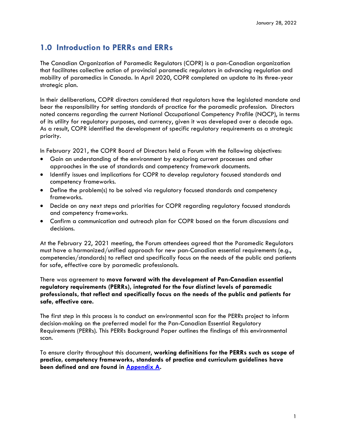## <span id="page-5-0"></span>**1.0 Introduction to PERRs and ERRs**

The Canadian Organization of Paramedic Regulators (COPR) is a pan-Canadian organization that facilitates collective action of provincial paramedic regulators in advancing regulation and mobility of paramedics in Canada. In April 2020, COPR completed an update to its three-year strategic plan.

In their deliberations, COPR directors considered that regulators have the legislated mandate and bear the responsibility for setting standards of practice for the paramedic profession. Directors noted concerns regarding the current National Occupational Competency Profile (NOCP), in terms of its utility for regulatory purposes, and currency, given it was developed over a decade ago. As a result, COPR identified the development of specific regulatory requirements as a strategic priority.

In February 2021, the COPR Board of Directors held a Forum with the following objectives:

- Gain an understanding of the environment by exploring current processes and other approaches in the use of standards and competency framework documents.
- Identify issues and implications for COPR to develop regulatory focused standards and competency frameworks.
- Define the problem(s) to be solved via regulatory focused standards and competency frameworks.
- Decide on any next steps and priorities for COPR regarding regulatory focused standards and competency frameworks.
- Confirm a communication and outreach plan for COPR based on the forum discussions and decisions.

At the February 22, 2021 meeting, the Forum attendees agreed that the Paramedic Regulators must have a harmonized/unified approach for new pan-Canadian essential requirements (e.g., competencies/standards) to reflect and specifically focus on the needs of the public and patients for safe, effective care by paramedic professionals.

There was agreement to **move forward with the development of Pan-Canadian essential regulatory requirements (PERRs), integrated for the four distinct levels of paramedic professionals, that reflect and specifically focus on the needs of the public and patients for safe, effective care.**

The first step in this process is to conduct an environmental scan for the PERRs project to inform decision-making on the preferred model for the Pan-Canadian Essential Regulatory Requirements (PERRs). This PERRs Background Paper outlines the findings of this environmental scan.

To ensure clarity throughout this document, **working definitions for the PERRs such as scope of practice, competency frameworks, standards of practice and curriculum guidelines have been defined and are found in [Appendix A.](#page-22-0)**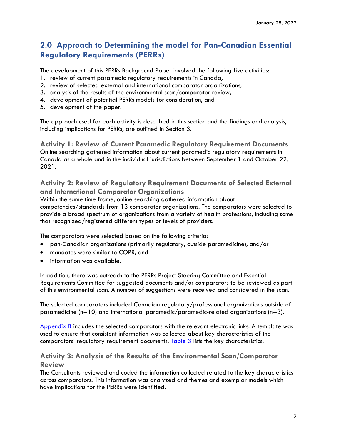## <span id="page-6-0"></span>**2.0 Approach to Determining the model for Pan-Canadian Essential Regulatory Requirements (PERRs)**

The development of this PERRs Background Paper involved the following five activities:

- 1. review of current paramedic regulatory requirements in Canada,
- 2. review of selected external and international comparator organizations,
- 3. analysis of the results of the environmental scan/comparator review,
- 4. development of potential PERRs models for consideration, and
- 5. development of the paper.

The approach used for each activity is described in this section and the findings and analysis, including implications for PERRs, are outlined in Section 3.

**Activity 1: Review of Current Paramedic Regulatory Requirement Documents** Online searching gathered information about current paramedic regulatory requirements in Canada as a whole and in the individual jurisdictions between September 1 and October 22, 2021.

## **Activity 2: Review of Regulatory Requirement Documents of Selected External and International Comparator Organizations**

Within the same time frame, online searching gathered information about competencies/standards from 13 comparator organizations. The comparators were selected to provide a broad spectrum of organizations from a variety of health professions, including some that recognized/registered different types or levels of providers.

The comparators were selected based on the following criteria:

- pan-Canadian organizations (primarily regulatory, outside paramedicine), and/or
- mandates were similar to COPR, and
- information was available.

In addition, there was outreach to the PERRs Project Steering Committee and Essential Requirements Committee for suggested documents and/or comparators to be reviewed as part of this environmental scan. A number of suggestions were received and considered in the scan.

The selected comparators included Canadian regulatory/professional organizations outside of paramedicine ( $n=10$ ) and international paramedic/paramedic-related organizations ( $n=3$ ).

[Appendix B](#page-23-0) includes the selected comparators with the relevant electronic links. A template was used to ensure that consistent information was collected about key characteristics of the comparators' regulatory requirement documents.  $Table 3$  lists the key characteristics.

## **Activity 3: Analysis of the Results of the Environmental Scan/Comparator Review**

The Consultants reviewed and coded the information collected related to the key characteristics across comparators. This information was analyzed and themes and exemplar models which have implications for the PERRs were identified.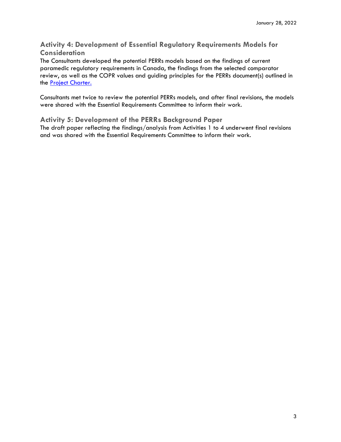**Activity 4: Development of Essential Regulatory Requirements Models for Consideration**

The Consultants developed the potential PERRs models based on the findings of current paramedic regulatory requirements in Canada, the findings from the selected comparator review, as well as the COPR values and guiding principles for the PERRs document(s) outlined in the **Project Charter.** 

Consultants met twice to review the potential PERRs models, and after final revisions, the models were shared with the Essential Requirements Committee to inform their work.

**Activity 5: Development of the PERRs Background Paper** The draft paper reflecting the findings/analysis from Activities 1 to 4 underwent final revisions and was shared with the Essential Requirements Committee to inform their work.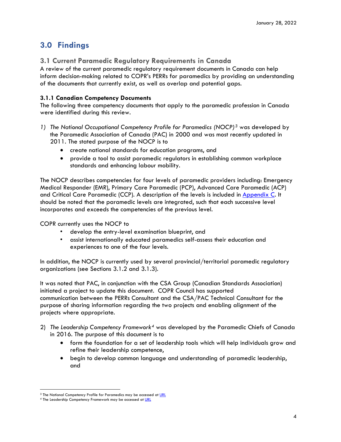## <span id="page-8-0"></span>**3.0 Findings**

## **3.1 Current Paramedic Regulatory Requirements in Canada**

A review of the current paramedic regulatory requirement documents in Canada can help inform decision-making related to COPR's PERRs for paramedics by providing an understanding of the documents that currently exist, as well as overlap and potential gaps.

## **3.1.1 Canadian Competency Documents**

The following three competency documents that apply to the paramedic profession in Canada were identified during this review.

- *1) The National Occupational Competency Profile for Paramedics (NOCP)[3](#page-8-1)* was developed by the Paramedic Association of Canada (PAC) in 2000 and was most recently updated in 2011. The stated purpose of the NOCP is to
	- create national standards for education programs, and
	- provide a tool to assist paramedic regulators in establishing common workplace standards and enhancing labour mobility.

The NOCP describes competencies for four levels of paramedic providers including: Emergency Medical Responder (EMR), Primary Care Paramedic (PCP), Advanced Care Paramedic (ACP) and Critical Care Paramedic (CCP). A description of the levels is included in [Appendix C.](#page-24-0) It should be noted that the paramedic levels are integrated, such that each successive level incorporates and exceeds the competencies of the previous level.

COPR currently uses the NOCP to

- develop the entry-level examination blueprint, and
- assist internationally educated paramedics self-assess their education and experiences to one of the four levels.

In addition, the NOCP is currently used by several provincial/territorial paramedic regulatory organizations (see Sections 3.1.2 and 3.1.3).

It was noted that PAC, in conjunction with the CSA Group (Canadian Standards Association) initiated a project to update this document. COPR Council has supported communication between the PERRs Consultant and the CSA/PAC Technical Consultant for the purpose of sharing information regarding the two projects and enabling alignment of the projects where appropriate.

- 2) *The Leadership Competency Framework[4](#page-8-2)* was developed by the Paramedic Chiefs of Canada in 2016. The purpose of this document is to
	- form the foundation for a set of leadership tools which will help individuals grow and refine their leadership competence,
	- begin to develop common language and understanding of paramedic leadership, and

<span id="page-8-1"></span><sup>&</sup>lt;sup>3</sup> The National Competency Profile for Paramedics may be accessed a[t URL](https://pac.in1touch.org/document/1488/2011-10-31-Approved-NOCP-English-Master.pdf)

<span id="page-8-2"></span><sup>4</sup> The Leadership Competency Framework may be accessed at [URL](http://www.paramedicchiefs.ca/docs/PCC-LeadershipCompetencyFramework.pdf)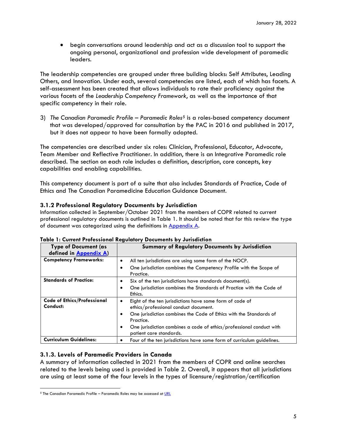• begin conversations around leadership and act as a discussion tool to support the ongoing personal, organizational and profession wide development of paramedic leaders.

The leadership competencies are grouped under three building blocks: Self Attributes, Leading Others, and Innovation. Under each, several competencies are listed, each of which has facets. A self-assessment has been created that allows individuals to rate their proficiency against the various facets of the *Leadership Competency Framework*, as well as the importance of that specific competency in their role.

3) *The Canadian Paramedic Profile – Paramedic Roles[5](#page-9-0)* is a roles-based competency document that was developed/approved for consultation by the PAC in 2016 and published in 2017, but it does not appear to have been formally adopted.

The competencies are described under six roles: Clinician, Professional, Educator, Advocate, Team Member and Reflective Practitioner. In addition, there is an Integrative Paramedic role described. The section on each role includes a definition, description, core concepts, key capabilities and enabling capabilities.

This competency document is part of a suite that also includes Standards of Practice, Code of Ethics and The Canadian Paramedicine Education Guidance Document.

### **3.1.2 Professional Regulatory Documents by Jurisdiction**

Information collected in September/October 2021 from the members of COPR related to current professional regulatory documents is outlined in Table 1. It should be noted that for this review the type of document was categorized using the definitions in [Appendix A.](#page-22-0)

| <b>Type of Document (as</b><br>defined in Appendix A) | <b>Summary of Regulatory Documents by Jurisdiction</b>                                                                                                                                            |
|-------------------------------------------------------|---------------------------------------------------------------------------------------------------------------------------------------------------------------------------------------------------|
| <b>Competency Frameworks:</b>                         | All ten jurisdictions are using some form of the NOCP.<br>$\bullet$<br>One jurisdiction combines the Competency Profile with the Scope of<br>$\bullet$<br>Practice.                               |
| <b>Standards of Practice:</b>                         | Six of the ten jurisdictions have standards document(s).<br>٠<br>One jurisdiction combines the Standards of Practice with the Code of<br>$\bullet$<br>Ethics.                                     |
| <b>Code of Ethics/Professional</b><br>Conduct:        | Eight of the ten jurisdictions have some form of code of<br>ethics/professional conduct document.<br>One jurisdiction combines the Code of Ethics with the Standards of<br>$\bullet$<br>Practice. |
| <b>Curriculum Guidelines:</b>                         | One jurisdiction combines a code of ethics/professional conduct with<br>٠<br>patient care standards.                                                                                              |
|                                                       | Four of the ten jurisdictions have some form of curriculum guidelines.                                                                                                                            |

| Table 1: Current Professional Regulatory Documents by Jurisdiction |  |
|--------------------------------------------------------------------|--|
|--------------------------------------------------------------------|--|

### **3.1.3. Levels of Paramedic Providers in Canada**

A summary of information collected in 2021 from the members of COPR and online searches related to the levels being used is provided in Table 2. Overall, it appears that all jurisdictions are using at least some of the four levels in the types of licensure/registration/certification

<span id="page-9-0"></span> $5$  The Canadian Paramedic Profile – Paramedic Roles may be accessed at [URL](https://pac.in1touch.org/document/3383/PAC%20Paramedic%20Profile_final.pdf)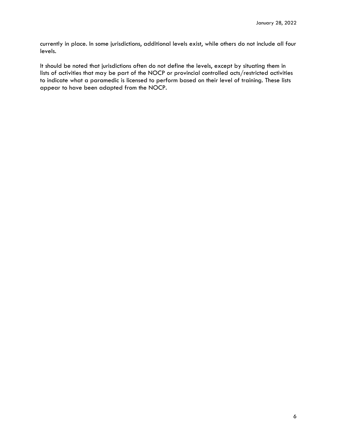currently in place. In some jurisdictions, additional levels exist, while others do not include all four levels.

It should be noted that jurisdictions often do not define the levels, except by situating them in lists of activities that may be part of the NOCP or provincial controlled acts/restricted activities to indicate what a paramedic is licensed to perform based on their level of training. These lists appear to have been adapted from the NOCP.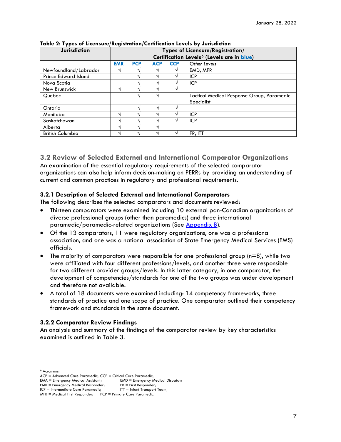| <b>Jurisdiction</b>         | Types of Licensure/Registration/<br>Certification Levels <sup>6</sup> (Levels are in blue) |                                                        |                                                   |  |            |  |
|-----------------------------|--------------------------------------------------------------------------------------------|--------------------------------------------------------|---------------------------------------------------|--|------------|--|
|                             | <b>EMR</b>                                                                                 | <b>PCP</b><br><b>ACP</b><br><b>CCP</b><br>Other Levels |                                                   |  |            |  |
| Newfoundland/Labrador       |                                                                                            |                                                        |                                                   |  | EMD, MFR   |  |
| <b>Prince Edward Island</b> |                                                                                            | $\mathbf \Lambda$                                      | $\Delta$                                          |  | <b>ICP</b> |  |
| Nova Scotia                 |                                                                                            |                                                        | ٦Ι                                                |  | <b>ICP</b> |  |
| New Brunswick               |                                                                                            |                                                        |                                                   |  |            |  |
| Quebec                      |                                                                                            |                                                        | <b>Tactical Medical Response Group, Paramedic</b> |  |            |  |
|                             |                                                                                            |                                                        |                                                   |  | Specialist |  |
| Ontario                     |                                                                                            | $\mathbf \Lambda$                                      | 1.                                                |  |            |  |
| Manitoba                    | N                                                                                          |                                                        | N                                                 |  | <b>ICP</b> |  |
| Saskatchewan                |                                                                                            |                                                        | $\sim$                                            |  | <b>ICP</b> |  |
| Alberta                     |                                                                                            |                                                        |                                                   |  |            |  |
| <b>British Columbia</b>     |                                                                                            |                                                        |                                                   |  | FR, ITT    |  |

#### **Table 2: Types of Licensure/Registration/Certification Levels by Jurisdiction**

### **3.2 Review of Selected External and International Comparator Organizations** An examination of the essential regulatory requirements of the selected comparator organizations can also help inform decision-making on PERRs by providing an understanding of current and common practices in regulatory and professional requirements.

### **3.2.1 Description of Selected External and International Comparators**

The following describes the selected comparators and documents reviewed:

- Thirteen comparators were examined including 10 external pan-Canadian organizations of diverse professional groups (other than paramedics) and three international paramedic/paramedic-related organizations (See [Appendix B\)](#page-23-0).
- Of the 13 comparators, 11 were regulatory organizations, one was a professional association, and one was a national association of State Emergency Medical Services (EMS) officials.
- The majority of comparators were responsible for one professional group (n=8), while two were affiliated with four different professions/levels, and another three were responsible for two different provider groups/levels. In this latter category, in one comparator, the development of competencies/standards for one of the two groups was under development and therefore not available.
- A total of 18 documents were examined including: 14 competency frameworks, three standards of practice and one scope of practice. One comparator outlined their competency framework and standards in the same document.

### **3.2.2 Comparator Review Findings**

An analysis and summary of the findings of the comparator review by key characteristics examined is outlined in Table 3.

<span id="page-11-0"></span><sup>6</sup> Acronyms:

 $ACP =$  Advanced Care Paramedic;  $CCP =$  Critical Care Paramedic;<br> $EMA =$  Emergency Medical Assistant; EMD = Emergency Medical Dispatch;

 $EMA = \text{Emergency Medical Assistant;}$   $EMD = \text{Emergency}$   $M_{\text{R}} = \text{Emergency}$   $M_{\text{R}} = \text{Emergency}$   $M_{\text{R}} = \text{Emergency}$   $M_{\text{R}} = \text{Emergency}$   $M_{\text{R}} = \text{Emergency}$   $M_{\text{R}} = \text{Emergency}$   $M_{\text{R}} = \text{Emergency}$   $M_{\text{R}} = \text{Emergency}$   $M_{\text{R}} = \text{Emergency}$   $M_{\text{R}} = \text{Emergency}$   $M_{\text{R}} = \text{$ 

EMR = Emergency Medical Responder; FR = First Responder;<br>ICP = Intermediate Care Paramedic; FIT = Infant Transport Team;

ICP = Intermediate Care Paramedic;

 $MFR =$  Medical First Responder; PCP = Primary Care Paramedic.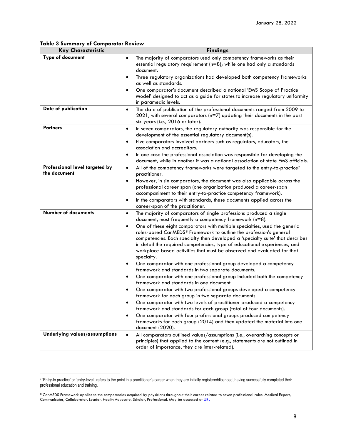#### <span id="page-12-0"></span>**Table 3 Summary of Comparator Review**

| <b>Key Characteristic</b>                      | <b>Findings</b>                                                                                                                                                                                                                                                                                                                                                                                                                   |  |  |  |
|------------------------------------------------|-----------------------------------------------------------------------------------------------------------------------------------------------------------------------------------------------------------------------------------------------------------------------------------------------------------------------------------------------------------------------------------------------------------------------------------|--|--|--|
| <b>Type of document</b>                        | The majority of comparators used only competency frameworks as their<br>$\bullet$<br>essential regulatory requirement ( $n=8$ ); while one had only a standards<br>document.                                                                                                                                                                                                                                                      |  |  |  |
|                                                | Three regulatory organizations had developed both competency frameworks<br>$\bullet$<br>as well as standards.                                                                                                                                                                                                                                                                                                                     |  |  |  |
|                                                | One comparator's document described a national 'EMS Scope of Practice<br>$\bullet$<br>Model' designed to act as a guide for states to increase regulatory uniformity<br>in paramedic levels.                                                                                                                                                                                                                                      |  |  |  |
| Date of publication                            | The date of publication of the professional documents ranged from 2009 to<br>$\bullet$<br>2021, with several comparators (n=7) updating their documents in the past<br>six years (i.e., 2016 or later).                                                                                                                                                                                                                           |  |  |  |
| <b>Partners</b>                                | In seven comparators, the regulatory authority was responsible for the<br>$\bullet$<br>development of the essential regulatory document(s).                                                                                                                                                                                                                                                                                       |  |  |  |
|                                                | Five comparators involved partners such as regulators, educators, the<br>$\bullet$<br>association and accreditors.                                                                                                                                                                                                                                                                                                                |  |  |  |
|                                                | In one case the professional association was responsible for developing the<br>٠<br>document, while in another it was a national association of state EMS officials.                                                                                                                                                                                                                                                              |  |  |  |
| Professional level targeted by<br>the document | All of the competency frameworks were targeted to the entry-to-practice <sup>7</sup><br>$\bullet$<br>practitioner.                                                                                                                                                                                                                                                                                                                |  |  |  |
|                                                | However, in six comparators, the document was also applicable across the<br>$\bullet$<br>professional career span (one organization produced a career-span<br>accompaniment to their entry-to-practice competency framework).                                                                                                                                                                                                     |  |  |  |
|                                                | In the comparators with standards, these documents applied across the<br>$\bullet$<br>career-span of the practitioner.                                                                                                                                                                                                                                                                                                            |  |  |  |
| <b>Number of documents</b>                     | The majority of comparators of single professions produced a single<br>$\bullet$<br>document, most frequently a competency framework (n=8).                                                                                                                                                                                                                                                                                       |  |  |  |
|                                                | One of these eight comparators with multiple specialties, used the generic<br>$\bullet$<br>roles-based CanMEDS <sup>8</sup> Framework to outline the profession's general<br>competencies. Each specialty then developed a 'specialty suite' that describes<br>in detail the required competencies, type of educational experiences, and<br>workplace-based activities that must be observed and evaluated for that<br>specialty. |  |  |  |
|                                                | One comparator with one professional group developed a competency<br>$\bullet$<br>framework and standards in two separate documents.                                                                                                                                                                                                                                                                                              |  |  |  |
|                                                | One comparator with one professional group included both the competency<br>$\bullet$<br>framework and standards in one document.                                                                                                                                                                                                                                                                                                  |  |  |  |
|                                                | One comparator with two professional groups developed a competency<br>$\bullet$<br>framework for each group in two separate documents.                                                                                                                                                                                                                                                                                            |  |  |  |
|                                                | One comparator with two levels of practitioner produced a competency<br>framework and standards for each group (total of four documents).                                                                                                                                                                                                                                                                                         |  |  |  |
|                                                | One comparator with four professional groups produced competency<br>٠<br>frameworks for each group (2014) and then updated the material into one<br>document (2020).                                                                                                                                                                                                                                                              |  |  |  |
| Underlying values/assumptions                  | All comparators outlined values/assumptions (i.e., overarching concepts or<br>$\bullet$<br>principles) that applied to the content (e.g., statements are not outlined in<br>order of importance, they are inter-related).                                                                                                                                                                                                         |  |  |  |

<span id="page-12-1"></span><sup>7 &#</sup>x27;Entry-to practice' or 'entry-level', refers to the point in a practitioner's career when they are initially registered/licenced, having successfully completed their professional education and training.

<span id="page-12-2"></span> $8$  CanMEDS Framework applies to the competencies acquired by physicians throughout their career related to seven professional roles: Medical Expert, Communicator, Collaborator, Leader, Health Advocate, Scholar, Professional. May be accessed at <u>[URL](https://www.royalcollege.ca/rcsite/canmeds/canmeds-framework-e)</u>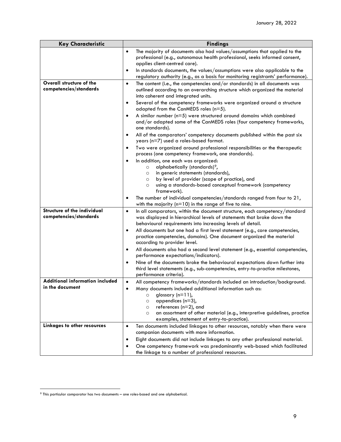| <b>Key Characteristic</b>                                 | <b>Findings</b>                                                                                                                                                                                                                                                                                                                                                                                                                                                                                                                                                                                                                                                                                                                                                                                                                                                                                                                                                                                                                                                                                                    |  |  |  |
|-----------------------------------------------------------|--------------------------------------------------------------------------------------------------------------------------------------------------------------------------------------------------------------------------------------------------------------------------------------------------------------------------------------------------------------------------------------------------------------------------------------------------------------------------------------------------------------------------------------------------------------------------------------------------------------------------------------------------------------------------------------------------------------------------------------------------------------------------------------------------------------------------------------------------------------------------------------------------------------------------------------------------------------------------------------------------------------------------------------------------------------------------------------------------------------------|--|--|--|
|                                                           | The majority of documents also had values/assumptions that applied to the<br>$\bullet$<br>professional (e.g., autonomous health professional, seeks informed consent,<br>applies client-centred care).                                                                                                                                                                                                                                                                                                                                                                                                                                                                                                                                                                                                                                                                                                                                                                                                                                                                                                             |  |  |  |
|                                                           | In standards documents, the values/assumptions were also applicable to the<br>$\bullet$<br>regulatory authority (e.g., as a basis for monitoring registrants' performance).                                                                                                                                                                                                                                                                                                                                                                                                                                                                                                                                                                                                                                                                                                                                                                                                                                                                                                                                        |  |  |  |
| Overall structure of the<br>competencies/standards        | The content (i.e., the competencies and/or standards) in all documents was<br>$\bullet$<br>outlined according to an overarching structure which organized the material<br>into coherent and integrated units.<br>Several of the competency frameworks were organized around a structure<br>$\bullet$<br>adapted from the CanMEDS roles (n=5).<br>A similar number ( $n=5$ ) were structured around domains which combined<br>$\bullet$<br>and/or adapted some of the CanMEDS roles (four competency frameworks,<br>one standards).<br>All of the comparators' competency documents published within the past six<br>$\bullet$<br>years (n=7) used a roles-based format.<br>Two were organized around professional responsibilities or the therapeutic<br>٠<br>process (one competency framework, one standards).<br>In addition, one each was organized:<br>٠<br>alphabetically (standards) <sup>9</sup> ,<br>$\circ$<br>in generic statements (standards),<br>$\circ$<br>by level of provider (scope of practice), and<br>$\circ$<br>using a standards-based conceptual framework (competency<br>O<br>framework). |  |  |  |
|                                                           | The number of individual competencies/standards ranged from four to 21,<br>٠<br>with the majority ( $n=10$ ) in the range of five to nine.                                                                                                                                                                                                                                                                                                                                                                                                                                                                                                                                                                                                                                                                                                                                                                                                                                                                                                                                                                         |  |  |  |
| Structure of the individual<br>competencies/standards     | In all comparators, within the document structure, each competency/standard<br>$\bullet$<br>was displayed in hierarchical levels of statements that broke down the<br>behavioural requirements into increasing levels of detail.<br>All documents but one had a first level statement (e.g., core competencies,<br>$\bullet$<br>practice competencies, domains). One document organized the material<br>according to provider level.                                                                                                                                                                                                                                                                                                                                                                                                                                                                                                                                                                                                                                                                               |  |  |  |
|                                                           | All documents also had a second level statement (e.g., essential competencies,<br>$\bullet$<br>performance expectations/indicators).<br>Nine of the documents broke the behavioural expectations down further into<br>$\bullet$<br>third level statements (e.g., sub-competencies, entry-to-practice milestones,<br>performance criteria).                                                                                                                                                                                                                                                                                                                                                                                                                                                                                                                                                                                                                                                                                                                                                                         |  |  |  |
| <b>Additional information included</b><br>in the document | All competency frameworks/standards included an introduction/background.<br>$\bullet$<br>Many documents included additional information such as:<br>$\bullet$<br>glossary $(n=11)$ ,<br>$\circ$<br>appendices $(n=3)$ ,<br>$\circ$<br>references (n=2), and<br>$\circ$<br>an assortment of other material (e.g., interpretive guidelines, practice<br>$\circ$<br>examples, statement of entry-to-practice).                                                                                                                                                                                                                                                                                                                                                                                                                                                                                                                                                                                                                                                                                                        |  |  |  |
| Linkages to other resources                               | Ten documents included linkages to other resources, notably when there were<br>$\bullet$<br>companion documents with more information.<br>Eight documents did not include linkages to any other professional material.<br>٠<br>One competency framework was predominantly web-based which facilitated<br>the linkage to a number of professional resources.                                                                                                                                                                                                                                                                                                                                                                                                                                                                                                                                                                                                                                                                                                                                                        |  |  |  |

<span id="page-13-0"></span><sup>9</sup> This particular comparator has two documents – one roles-based and one alphabetical.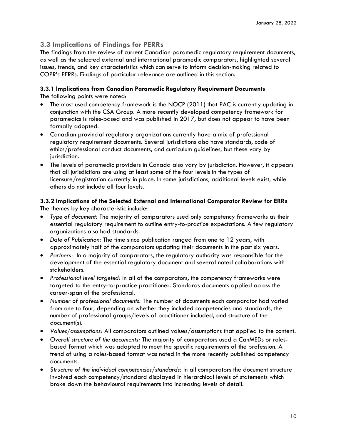## **3.3 Implications of Findings for PERRs**

The findings from the review of current Canadian paramedic regulatory requirement documents, as well as the selected external and international paramedic comparators, highlighted several issues, trends, and key characteristics which can serve to inform decision-making related to COPR's PERRs. Findings of particular relevance are outlined in this section.

## **3.3.1 Implications from Canadian Paramedic Regulatory Requirement Documents**

The following points were noted:

- The most used competency framework is the NOCP (2011) that PAC is currently updating in conjunction with the CSA Group. A more recently developed competency framework for paramedics is roles-based and was published in 2017, but does not appear to have been formally adopted.
- Canadian provincial regulatory organizations currently have a mix of professional regulatory requirement documents. Several jurisdictions also have standards, code of ethics/professional conduct documents, and curriculum guidelines, but these vary by jurisdiction.
- The levels of paramedic providers in Canada also vary by jurisdiction. However, it appears that all jurisdictions are using at least some of the four levels in the types of licensure/registration currently in place. In some jurisdictions, additional levels exist, while others do not include all four levels.

### **3.3.2 Implications of the Selected External and International Comparator Review for ERRs** The themes by key characteristic include:

- *Type of document:* The majority of comparators used only competency frameworks as their essential regulatory requirement to outline entry-to-practice expectations. A few regulatory organizations also had standards.
- *Date of Publication:* The time since publication ranged from one to 12 years, with approximately half of the comparators updating their documents in the past six years.
- *Partners:* In a majority of comparators, the regulatory authority was responsible for the development of the essential regulatory document and several noted collaborations with stakeholders.
- *Professional level targeted:* In all of the comparators, the competency frameworks were targeted to the entry-to-practice practitioner. Standards documents applied across the career-span of the professional.
- *Number of professional documents:* The number of documents each comparator had varied from one to four, depending on whether they included competencies and standards, the number of professional groups/levels of practitioner included, and structure of the document(s).
- *Values/assumptions:* All comparators outlined values/assumptions that applied to the content.
- *Overall structure of the documents:* The majority of comparators used a CanMEDs or rolesbased format which was adapted to meet the specific requirements of the profession. A trend of using a roles-based format was noted in the more recently published competency documents.
- *Structure of the individual competencies/standards:* In all comparators the document structure involved each competency/standard displayed in hierarchical levels of statements which broke down the behavioural requirements into increasing levels of detail.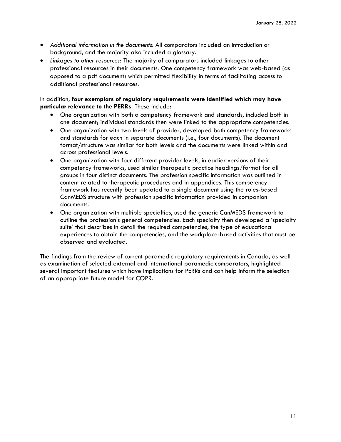- *Additional information in the documents*: All comparators included an introduction or background, and the majority also included a glossary.
- *Linkages to other resources:* The majority of comparators included linkages to other professional resources in their documents. One competency framework was web-based (as opposed to a pdf document) which permitted flexibility in terms of facilitating access to additional professional resources.

### In addition, **four exemplars of regulatory requirements were identified which may have particular relevance to the PERRs**. These include:

- One organization with both a competency framework and standards, included both in one document; individual standards then were linked to the appropriate competencies.
- One organization with two levels of provider, developed both competency frameworks and standards for each in separate documents (i.e., four documents). The document format/structure was similar for both levels and the documents were linked within and across professional levels.
- One organization with four different provider levels, in earlier versions of their competency frameworks, used similar therapeutic practice headings/format for all groups in four distinct documents. The profession specific information was outlined in content related to therapeutic procedures and in appendices. This competency framework has recently been updated to a single document using the roles-based CanMEDS structure with profession specific information provided in companion documents.
- One organization with multiple specialties, used the generic CanMEDS framework to outline the profession's general competencies. Each specialty then developed a 'specialty suite' that describes in detail the required competencies, the type of educational experiences to obtain the competencies, and the workplace-based activities that must be observed and evaluated.

The findings from the review of current paramedic regulatory requirements in Canada, as well as examination of selected external and international paramedic comparators, highlighted several important features which have implications for PERRs and can help inform the selection of an appropriate future model for COPR.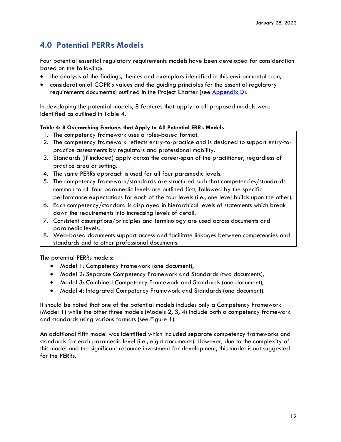## <span id="page-16-0"></span>**4.0 Potential PERRs Models**

Four potential essential regulatory requirements models have been developed for consideration based on the following:

- the analysis of the findings, themes and exemplars identified in this environmental scan,
- consideration of COPR's values and the quiding principles for the essential regulatory requirements document(s) outlined in the Project Charter (see [Appendix D\)](#page-25-0).

In developing the potential models, 8 features that apply to all proposed models were identified as outlined in Table 4.

### **Table 4: 8 Overarching Features that Apply to All Potential ERRs Models**

- 1. The competency framework uses a roles-based format.
- 2. The competency framework reflects entry-to-practice and is designed to support entry-topractice assessments by regulators and professional mobility.
- 3. Standards (if included) apply across the career-span of the practitioner, regardless of practice area or setting.
- 4. The same PERRs approach is used for all four paramedic levels.
- 5. The competency framework/standards are structured such that competencies/standards common to all four paramedic levels are outlined first, followed by the specific performance expectations for each of the four levels (i.e., one level builds upon the other).
- 6. Each competency/standard is displayed in hierarchical levels of statements which break down the requirements into increasing levels of detail.
- 7. Consistent assumptions/principles and terminology are used across documents and paramedic levels.
- 8. Web-based documents support access and facilitate linkages between competencies and standards and to other professional documents.

The potential PERRs models:

- Model 1: Competency Framework (one document),
- Model 2: Separate Competency Framework and Standards (two documents),
- Model 3: Combined Competency Framework and Standards (one document),
- Model 4: Integrated Competency Framework and Standards (one document).

It should be noted that one of the potential models includes only a Competency Framework (Model 1) while the other three models (Models 2, 3, 4) include both a competency framework and standards using various formats (see Figure 1).

An additional fifth model was identified which included separate competency frameworks and standards for each paramedic level (i.e., eight documents). However, due to the complexity of this model and the significant resource investment for development, this model is not suggested for the PERRs.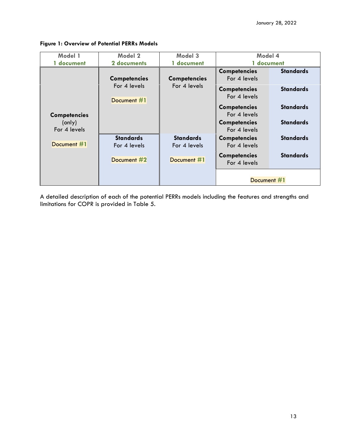| Model 1                                       | Model 2                                            | Model 3                                         | Model 4                                                                                                                                                  |                                                                              |
|-----------------------------------------------|----------------------------------------------------|-------------------------------------------------|----------------------------------------------------------------------------------------------------------------------------------------------------------|------------------------------------------------------------------------------|
| 1 document                                    | 2 documents                                        | 1 document                                      | 1 document                                                                                                                                               |                                                                              |
| <b>Competencies</b><br>(only)<br>For 4 levels | <b>Competencies</b><br>For 4 levels<br>Document #1 | <b>Competencies</b><br>For 4 levels             | <b>Competencies</b><br>For 4 levels<br><b>Competencies</b><br>For 4 levels<br><b>Competencies</b><br>For 4 levels<br><b>Competencies</b><br>For 4 levels | <b>Standards</b><br><b>Standards</b><br><b>Standards</b><br><b>Standards</b> |
| Document #1                                   | <b>Standards</b><br>For 4 levels<br>Document #2    | <b>Standards</b><br>For 4 levels<br>Document #1 | <b>Competencies</b><br>For 4 levels<br><b>Competencies</b><br>For 4 levels                                                                               | <b>Standards</b><br><b>Standards</b>                                         |
|                                               |                                                    |                                                 | Document #1                                                                                                                                              |                                                                              |

### **Figure 1: Overview of Potential PERRs Models**

A detailed description of each of the potential PERRs models including the features and strengths and limitations for COPR is provided in Table 5.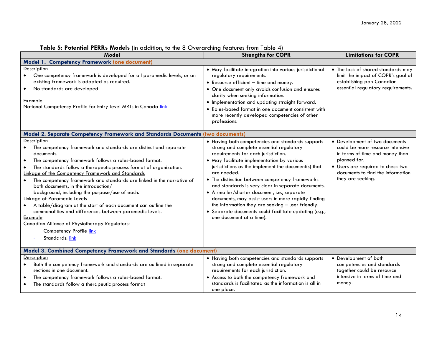| Model                                                                                                                                                                                                                                                                                                                                                                                                                                                                                                                                                                                                                                                                                                                                                                                        | <b>Strengths for COPR</b>                                                                                                                                                                                                                                                                                                                                                                                                                                                                                                                                                                                          | <b>Limitations for COPR</b>                                                                                                                                                                                          |
|----------------------------------------------------------------------------------------------------------------------------------------------------------------------------------------------------------------------------------------------------------------------------------------------------------------------------------------------------------------------------------------------------------------------------------------------------------------------------------------------------------------------------------------------------------------------------------------------------------------------------------------------------------------------------------------------------------------------------------------------------------------------------------------------|--------------------------------------------------------------------------------------------------------------------------------------------------------------------------------------------------------------------------------------------------------------------------------------------------------------------------------------------------------------------------------------------------------------------------------------------------------------------------------------------------------------------------------------------------------------------------------------------------------------------|----------------------------------------------------------------------------------------------------------------------------------------------------------------------------------------------------------------------|
| Model 1. Competency Framework (one document)                                                                                                                                                                                                                                                                                                                                                                                                                                                                                                                                                                                                                                                                                                                                                 |                                                                                                                                                                                                                                                                                                                                                                                                                                                                                                                                                                                                                    |                                                                                                                                                                                                                      |
| Description<br>One competency framework is developed for all paramedic levels, or an<br>$\bullet$<br>existing framework is adapted as required.<br>No standards are developed<br>$\bullet$<br>Example<br>National Competency Profile for Entry-level MRTs in Canada link                                                                                                                                                                                                                                                                                                                                                                                                                                                                                                                     | • May facilitate integration into various jurisdictional<br>regulatory requirements.<br>• Resource efficient - time and money.<br>• One document only avoids confusion and ensures<br>clarity when seeking information.<br>· Implementation and updating straight forward.<br>• Roles-based format in one document consistent with<br>more recently developed competencies of other<br>professions.                                                                                                                                                                                                                | • The lack of shared standards may<br>limit the impact of COPR's goal of<br>establishing pan-Canadian<br>essential regulatory requirements.                                                                          |
| Model 2. Separate Competency Framework and Standards Documents (two documents)                                                                                                                                                                                                                                                                                                                                                                                                                                                                                                                                                                                                                                                                                                               |                                                                                                                                                                                                                                                                                                                                                                                                                                                                                                                                                                                                                    |                                                                                                                                                                                                                      |
| Description<br>The competency framework and standards are distinct and separate<br>$\bullet$<br>documents.<br>The competency framework follows a roles-based format.<br>$\bullet$<br>The standards follow a therapeutic process format of organization.<br>$\bullet$<br>Linkage of the Competency Framework and Standards<br>The competency framework and standards are linked in the narrative of<br>$\bullet$<br>both documents, in the introduction/<br>background, including the purpose/use of each.<br>Linkage of Paramedic Levels<br>A table/diagram at the start of each document can outline the<br>$\bullet$<br>commonalities and differences between paramedic levels.<br>Example<br>Canadian Alliance of Physiotherapy Regulators:<br>Competency Profile link<br>Standards: link | • Having both competencies and standards supports<br>strong and complete essential regulatory<br>requirements for each jurisdiction.<br>• May facilitate implementation by various<br>jurisdictions as the implement the document(s) that<br>are needed.<br>• The distinction between competency frameworks<br>and standards is very clear in separate documents.<br>· A smaller/shorter document, i.e., separate<br>documents, may assist users in more rapidly finding<br>the information they are seeking - user friendly.<br>· Separate documents could facilitate updating (e.g.,<br>one document at a time). | • Development of two documents<br>could be more resource intensive<br>in terms of time and money than<br>planned for.<br>• Users are required to check two<br>documents to find the information<br>they are seeking. |
| Model 3. Combined Competency Framework and Standards (one document)                                                                                                                                                                                                                                                                                                                                                                                                                                                                                                                                                                                                                                                                                                                          |                                                                                                                                                                                                                                                                                                                                                                                                                                                                                                                                                                                                                    |                                                                                                                                                                                                                      |
| Description<br>Both the competency framework and standards are outlined in separate<br>sections in one document.<br>The competency framework follows a roles-based format.<br>٠<br>The standards follow a therapeutic process format                                                                                                                                                                                                                                                                                                                                                                                                                                                                                                                                                         | • Having both competencies and standards supports<br>strong and complete essential regulatory<br>requirements for each jurisdiction.<br>• Access to both the competency framework and<br>standards is facilitated as the information is all in<br>one place.                                                                                                                                                                                                                                                                                                                                                       | • Development of both<br>competencies and standards<br>together could be resource<br>intensive in terms of time and<br>money.                                                                                        |

## **Table 5: Potential PERRs Models** (in addition, to the 8 Overarching features from Table 4)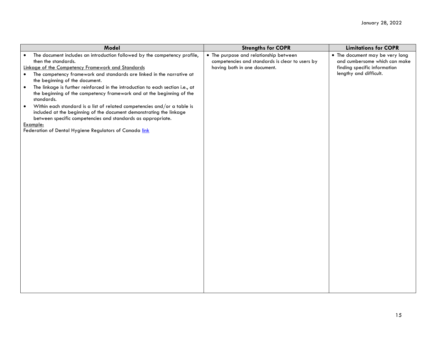| Model                                                                                                                                                                                                                       | <b>Strengths for COPR</b>                                                                 | <b>Limitations for COPR</b>                                      |
|-----------------------------------------------------------------------------------------------------------------------------------------------------------------------------------------------------------------------------|-------------------------------------------------------------------------------------------|------------------------------------------------------------------|
| The document includes an introduction followed by the competency profile,<br>$\bullet$<br>then the standards.                                                                                                               | • The purpose and relationship between<br>competencies and standards is clear to users by | • The document may be very long<br>and cumbersome which can make |
| Linkage of the Competency Framework and Standards                                                                                                                                                                           | having both in one document.                                                              | finding specific information                                     |
| The competency framework and standards are linked in the narrative at<br>$\bullet$<br>the beginning of the document.                                                                                                        |                                                                                           | lengthy and difficult.                                           |
| The linkage is further reinforced in the introduction to each section i.e., at<br>$\bullet$<br>the beginning of the competency framework and at the beginning of the<br>standards.                                          |                                                                                           |                                                                  |
| Within each standard is a list of related competencies and/or a table is<br>$\bullet$<br>included at the beginning of the document demonstrating the linkage<br>between specific competencies and standards as appropriate. |                                                                                           |                                                                  |
| Example:                                                                                                                                                                                                                    |                                                                                           |                                                                  |
| Federation of Dental Hygiene Regulators of Canada link                                                                                                                                                                      |                                                                                           |                                                                  |
|                                                                                                                                                                                                                             |                                                                                           |                                                                  |
|                                                                                                                                                                                                                             |                                                                                           |                                                                  |
|                                                                                                                                                                                                                             |                                                                                           |                                                                  |
|                                                                                                                                                                                                                             |                                                                                           |                                                                  |
|                                                                                                                                                                                                                             |                                                                                           |                                                                  |
|                                                                                                                                                                                                                             |                                                                                           |                                                                  |
|                                                                                                                                                                                                                             |                                                                                           |                                                                  |
|                                                                                                                                                                                                                             |                                                                                           |                                                                  |
|                                                                                                                                                                                                                             |                                                                                           |                                                                  |
|                                                                                                                                                                                                                             |                                                                                           |                                                                  |
|                                                                                                                                                                                                                             |                                                                                           |                                                                  |
|                                                                                                                                                                                                                             |                                                                                           |                                                                  |
|                                                                                                                                                                                                                             |                                                                                           |                                                                  |
|                                                                                                                                                                                                                             |                                                                                           |                                                                  |
|                                                                                                                                                                                                                             |                                                                                           |                                                                  |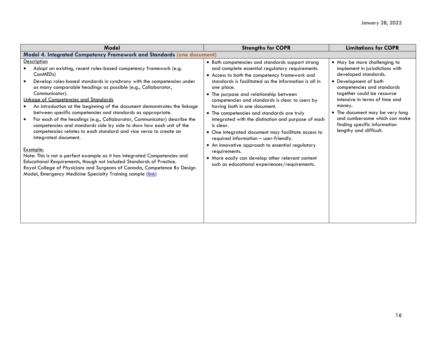| <b>Model</b>                                                                                                                                                                                                                                                                                                                                                                                                                                                                                                                                                                                                                                                                                                                                                                                                                                                                                                                                                                                                          | <b>Strengths for COPR</b>                                                                                                                                                                                                                                                                                                                                                                                                                                                                                                                                                                                                                                                                                                                           | <b>Limitations for COPR</b>                                                                                                                                                                                                                                                                                                                            |
|-----------------------------------------------------------------------------------------------------------------------------------------------------------------------------------------------------------------------------------------------------------------------------------------------------------------------------------------------------------------------------------------------------------------------------------------------------------------------------------------------------------------------------------------------------------------------------------------------------------------------------------------------------------------------------------------------------------------------------------------------------------------------------------------------------------------------------------------------------------------------------------------------------------------------------------------------------------------------------------------------------------------------|-----------------------------------------------------------------------------------------------------------------------------------------------------------------------------------------------------------------------------------------------------------------------------------------------------------------------------------------------------------------------------------------------------------------------------------------------------------------------------------------------------------------------------------------------------------------------------------------------------------------------------------------------------------------------------------------------------------------------------------------------------|--------------------------------------------------------------------------------------------------------------------------------------------------------------------------------------------------------------------------------------------------------------------------------------------------------------------------------------------------------|
| Model 4. Integrated Competency Framework and Standards (one document)                                                                                                                                                                                                                                                                                                                                                                                                                                                                                                                                                                                                                                                                                                                                                                                                                                                                                                                                                 |                                                                                                                                                                                                                                                                                                                                                                                                                                                                                                                                                                                                                                                                                                                                                     |                                                                                                                                                                                                                                                                                                                                                        |
| Description<br>Adapt an existing, recent roles-based competency framework (e.g.<br>CanMED <sub>s</sub> )<br>Develop roles-based standards in synchrony with the competencies under<br>as many comparable headings as possible (e.g., Collaborator,<br>Communicator).<br>Linkage of Competencies and Standards<br>An introduction at the beginning of the document demonstrates the linkage<br>between specific competencies and standards as appropriate.<br>For each of the headings (e.g., Collaborator, Communicator) describe the<br>competencies and standards side by side to show how each unit of the<br>competencies relates to each standard and vice versa to create an<br>integrated document.<br>Example:<br>Note: This is not a perfect example as it has integrated Competencies and<br>Educational Requirements, though not included Standards of Practice.<br>Royal College of Physicians and Surgeons of Canada, Competence By Design<br>Model, Emergency Medicine Specialty Training sample (link) | • Both competencies and standards support strong<br>and complete essential regulatory requirements.<br>• Access to both the competency framework and<br>standards is facilitated as the information is all in<br>one place.<br>• The purpose and relationship between<br>competencies and standards is clear to users by<br>having both in one document.<br>• The competencies and standards are truly<br>integrated with the distinction and purpose of each<br>is clear.<br>• One integrated document may facilitate access to<br>required information - user-friendly.<br>• An innovative approach to essential regulatory<br>requirements.<br>• More easily can develop other relevant content<br>such as educational experiences/requirements. | • May be more challenging to<br>implement in jurisdictions with<br>developed standards.<br>• Development of both<br>competencies and standards<br>together could be resource<br>intensive in terms of time and<br>money.<br>• The document may be very long<br>and cumbersome which can make<br>finding specific information<br>lengthy and difficult. |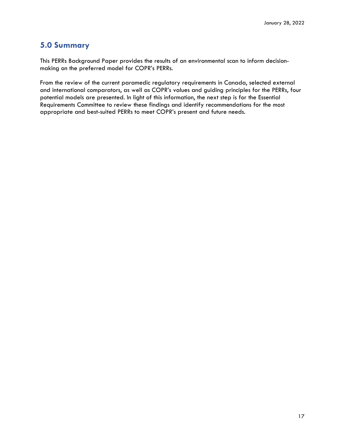## <span id="page-21-0"></span>**5.0 Summary**

This PERRs Background Paper provides the results of an environmental scan to inform decisionmaking on the preferred model for COPR's PERRs.

From the review of the current paramedic regulatory requirements in Canada, selected external and international comparators, as well as COPR's values and guiding principles for the PERRs, four potential models are presented. In light of this information, the next step is for the Essential Requirements Committee to review these findings and identify recommendations for the most appropriate and best-suited PERRs to meet COPR's present and future needs.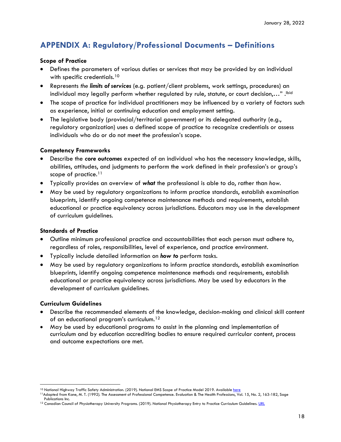## <span id="page-22-0"></span>**APPENDIX A: Regulatory/Professional Documents – Definitions**

### **Scope of Practice**

- Defines the parameters of various duties or services that may be provided by an individual with specific credentials.<sup>[10](#page-22-1)</sup>
- Represents *the limits of services* (e.g. patient/client problems, work settings, procedures) an individual may legally perform whether regulated by rule, statute, or court decision,...". Ibid
- The scope of practice for individual practitioners may be influenced by a variety of factors such as experience, initial or continuing education and employment setting.
- The legislative body (provincial/territorial government) or its delegated authority (e.g., regulatory organization) uses a defined scope of practice to recognize credentials or assess individuals who do or do not meet the profession's scope.

### **Competency Frameworks**

- Describe the *core outcomes* expected of an individual who has the necessary knowledge, skills, abilities, attitudes, and judgments to perform the work defined in their profession's or group's scope of practice.<sup>[11](#page-22-2)</sup>
- Typically provides an overview of *what* the professional is able to do, rather than *how.*
- May be used by regulatory organizations to inform practice standards, establish examination blueprints, identify ongoing competence maintenance methods and requirements, establish educational or practice equivalency across jurisdictions. Educators may use in the development of curriculum guidelines.

### **Standards of Practice**

- Outline minimum professional practice and accountabilities that each person must adhere to, regardless of roles, responsibilities, level of experience, and practice environment.
- Typically include detailed information on *how to* perform tasks.
- May be used by regulatory organizations to inform practice standards, establish examination blueprints, identify ongoing competence maintenance methods and requirements, establish educational or practice equivalency across jurisdictions. May be used by educators in the development of curriculum guidelines.

## **Curriculum Guidelines**

- Describe the recommended elements of the knowledge, decision-making and clinical skill content of an educational program's curriculum.[12](#page-22-3)
- May be used by educational programs to assist in the planning and implementation of curriculum and by education accrediting bodies to ensure required curricular content, process and outcome expectations are met.

<span id="page-22-1"></span><sup>&</sup>lt;sup>10</sup> National Highway Traffic Safety Administration. (2019). National EMS Scope of Practice Model 2019. Available [here](https://www.ems.gov/pdf/National_EMS_Scope_of_Practice_Model_2019.pdf)

<span id="page-22-2"></span><sup>11</sup>Adapted from Kane, M. T. (1992). The Assessment of Professional Competence. Evaluation & The Health Professions, Vol. 15, No. 2, 163-182, Sage Publications Inc.

<span id="page-22-3"></span><sup>&</sup>lt;sup>12</sup> Canadian Council of Physiotherapy University Programs. (2019). National Physiotherapy Entry to Practice Curriculum Guidelines[. URL](https://www.peac-aepc.ca/pdfs/Resources/Competency%20Profiles/CCPUP%20Curriculum%20Guidelines%202019.pdf)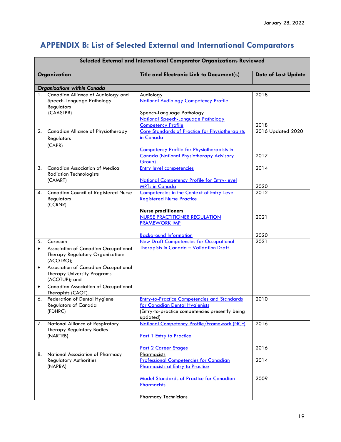# <span id="page-23-0"></span>**APPENDIX B: List of Selected External and International Comparators**

| Organization<br><b>Title and Electronic Link to Document(s)</b><br><b>Organizations within Canada</b><br>Canadian Alliance of Audiology and<br>2018<br>1.<br><b>Audiology</b><br>Speech-Language Pathology<br><b>National Audiology Competency Profile</b><br>Regulators<br>(CAASLPR)<br>Speech-Language Pathology<br>National Speech-Language Pathology<br><b>Competency Profile</b><br>2018<br><b>Core Standards of Practice for Physiotherapists</b><br>Canadian Alliance of Physiotherapy<br>2016 Updated 2020<br>2.<br>in Canada<br>Regulators<br>(CAPR)<br><b>Competency Profile for Physiotherapists in</b><br><b>Canada (National Physiotherapy Advisory</b><br>2017<br>Group)<br><b>Entry level competencies</b><br><b>Canadian Association of Medical</b><br>2014<br>3.<br><b>Radiation Technologists</b><br>(CAMRT)<br><b>National Competency Profile for Entry-level</b><br>2020<br><b>MRTs in Canada</b><br>2012<br><b>Canadian Council of Registered Nurse</b><br>Competencies in the Context of Entry-Level<br>4.<br>Regulators<br><b>Registered Nurse Practice</b><br>(CCRNR)<br><b>Nurse practitioners</b><br><b>NURSE PRACTITIONER REGULATION</b><br>2021<br><b>FRAMEWORK IMP</b><br>2020<br><b>Background Information</b><br><b>New Draft Competencies for Occupational</b><br>2021<br>5.<br>Corecom<br>Therapists in Canada - Validation Draft<br>Association of Canadian Occupational<br>$\bullet$<br>Therapy Regulatory Organizations<br>(ACOTRO);<br>Association of Canadian Occupational<br>$\bullet$<br><b>Therapy University Programs</b><br>(ACOTUP); and<br><b>Canadian Association of Occupational</b><br>$\bullet$<br>Therapists (CAOT).<br>Federation of Dental Hygiene<br><b>Entry-to-Practice Competencies and Standards</b><br>2010<br>6.<br><b>Regulators of Canada</b><br>for Canadian Dental Hygienists<br>(FDHRC)<br>(Entry-to-practice competencies presently being<br>updated)<br>National Competency Profile/Framework (NCF)<br>2016<br>National Alliance of Respiratory<br>7.<br>Therapy Regulatory Bodies<br>(NARTRB)<br>Part 1 Entry to Practice<br>2016<br><b>Part 2 Career Stages</b><br>National Association of Pharmacy<br>Pharmacists<br>8.<br><b>Professional Competencies for Canadian</b><br>2014<br><b>Regulatory Authorities</b><br><b>Pharmacists at Entry to Practice</b><br>(NAPRA)<br>2009<br><b>Model Standards of Practice for Canadian</b><br>Pharmacists | Selected External and International Comparator Organizations Reviewed |  |                            |  |  |
|------------------------------------------------------------------------------------------------------------------------------------------------------------------------------------------------------------------------------------------------------------------------------------------------------------------------------------------------------------------------------------------------------------------------------------------------------------------------------------------------------------------------------------------------------------------------------------------------------------------------------------------------------------------------------------------------------------------------------------------------------------------------------------------------------------------------------------------------------------------------------------------------------------------------------------------------------------------------------------------------------------------------------------------------------------------------------------------------------------------------------------------------------------------------------------------------------------------------------------------------------------------------------------------------------------------------------------------------------------------------------------------------------------------------------------------------------------------------------------------------------------------------------------------------------------------------------------------------------------------------------------------------------------------------------------------------------------------------------------------------------------------------------------------------------------------------------------------------------------------------------------------------------------------------------------------------------------------------------------------------------------------------------------------------------------------------------------------------------------------------------------------------------------------------------------------------------------------------------------------------------------------------------------------------------------------------------------------------------------------------------------------------------------------------|-----------------------------------------------------------------------|--|----------------------------|--|--|
|                                                                                                                                                                                                                                                                                                                                                                                                                                                                                                                                                                                                                                                                                                                                                                                                                                                                                                                                                                                                                                                                                                                                                                                                                                                                                                                                                                                                                                                                                                                                                                                                                                                                                                                                                                                                                                                                                                                                                                                                                                                                                                                                                                                                                                                                                                                                                                                                                        |                                                                       |  | <b>Date of Last Update</b> |  |  |
|                                                                                                                                                                                                                                                                                                                                                                                                                                                                                                                                                                                                                                                                                                                                                                                                                                                                                                                                                                                                                                                                                                                                                                                                                                                                                                                                                                                                                                                                                                                                                                                                                                                                                                                                                                                                                                                                                                                                                                                                                                                                                                                                                                                                                                                                                                                                                                                                                        |                                                                       |  |                            |  |  |
|                                                                                                                                                                                                                                                                                                                                                                                                                                                                                                                                                                                                                                                                                                                                                                                                                                                                                                                                                                                                                                                                                                                                                                                                                                                                                                                                                                                                                                                                                                                                                                                                                                                                                                                                                                                                                                                                                                                                                                                                                                                                                                                                                                                                                                                                                                                                                                                                                        |                                                                       |  |                            |  |  |
|                                                                                                                                                                                                                                                                                                                                                                                                                                                                                                                                                                                                                                                                                                                                                                                                                                                                                                                                                                                                                                                                                                                                                                                                                                                                                                                                                                                                                                                                                                                                                                                                                                                                                                                                                                                                                                                                                                                                                                                                                                                                                                                                                                                                                                                                                                                                                                                                                        |                                                                       |  |                            |  |  |
|                                                                                                                                                                                                                                                                                                                                                                                                                                                                                                                                                                                                                                                                                                                                                                                                                                                                                                                                                                                                                                                                                                                                                                                                                                                                                                                                                                                                                                                                                                                                                                                                                                                                                                                                                                                                                                                                                                                                                                                                                                                                                                                                                                                                                                                                                                                                                                                                                        |                                                                       |  |                            |  |  |
|                                                                                                                                                                                                                                                                                                                                                                                                                                                                                                                                                                                                                                                                                                                                                                                                                                                                                                                                                                                                                                                                                                                                                                                                                                                                                                                                                                                                                                                                                                                                                                                                                                                                                                                                                                                                                                                                                                                                                                                                                                                                                                                                                                                                                                                                                                                                                                                                                        |                                                                       |  |                            |  |  |
|                                                                                                                                                                                                                                                                                                                                                                                                                                                                                                                                                                                                                                                                                                                                                                                                                                                                                                                                                                                                                                                                                                                                                                                                                                                                                                                                                                                                                                                                                                                                                                                                                                                                                                                                                                                                                                                                                                                                                                                                                                                                                                                                                                                                                                                                                                                                                                                                                        |                                                                       |  |                            |  |  |
|                                                                                                                                                                                                                                                                                                                                                                                                                                                                                                                                                                                                                                                                                                                                                                                                                                                                                                                                                                                                                                                                                                                                                                                                                                                                                                                                                                                                                                                                                                                                                                                                                                                                                                                                                                                                                                                                                                                                                                                                                                                                                                                                                                                                                                                                                                                                                                                                                        |                                                                       |  |                            |  |  |
|                                                                                                                                                                                                                                                                                                                                                                                                                                                                                                                                                                                                                                                                                                                                                                                                                                                                                                                                                                                                                                                                                                                                                                                                                                                                                                                                                                                                                                                                                                                                                                                                                                                                                                                                                                                                                                                                                                                                                                                                                                                                                                                                                                                                                                                                                                                                                                                                                        |                                                                       |  |                            |  |  |
|                                                                                                                                                                                                                                                                                                                                                                                                                                                                                                                                                                                                                                                                                                                                                                                                                                                                                                                                                                                                                                                                                                                                                                                                                                                                                                                                                                                                                                                                                                                                                                                                                                                                                                                                                                                                                                                                                                                                                                                                                                                                                                                                                                                                                                                                                                                                                                                                                        |                                                                       |  |                            |  |  |
|                                                                                                                                                                                                                                                                                                                                                                                                                                                                                                                                                                                                                                                                                                                                                                                                                                                                                                                                                                                                                                                                                                                                                                                                                                                                                                                                                                                                                                                                                                                                                                                                                                                                                                                                                                                                                                                                                                                                                                                                                                                                                                                                                                                                                                                                                                                                                                                                                        |                                                                       |  |                            |  |  |
|                                                                                                                                                                                                                                                                                                                                                                                                                                                                                                                                                                                                                                                                                                                                                                                                                                                                                                                                                                                                                                                                                                                                                                                                                                                                                                                                                                                                                                                                                                                                                                                                                                                                                                                                                                                                                                                                                                                                                                                                                                                                                                                                                                                                                                                                                                                                                                                                                        |                                                                       |  |                            |  |  |
|                                                                                                                                                                                                                                                                                                                                                                                                                                                                                                                                                                                                                                                                                                                                                                                                                                                                                                                                                                                                                                                                                                                                                                                                                                                                                                                                                                                                                                                                                                                                                                                                                                                                                                                                                                                                                                                                                                                                                                                                                                                                                                                                                                                                                                                                                                                                                                                                                        |                                                                       |  |                            |  |  |
|                                                                                                                                                                                                                                                                                                                                                                                                                                                                                                                                                                                                                                                                                                                                                                                                                                                                                                                                                                                                                                                                                                                                                                                                                                                                                                                                                                                                                                                                                                                                                                                                                                                                                                                                                                                                                                                                                                                                                                                                                                                                                                                                                                                                                                                                                                                                                                                                                        |                                                                       |  |                            |  |  |
|                                                                                                                                                                                                                                                                                                                                                                                                                                                                                                                                                                                                                                                                                                                                                                                                                                                                                                                                                                                                                                                                                                                                                                                                                                                                                                                                                                                                                                                                                                                                                                                                                                                                                                                                                                                                                                                                                                                                                                                                                                                                                                                                                                                                                                                                                                                                                                                                                        |                                                                       |  |                            |  |  |
|                                                                                                                                                                                                                                                                                                                                                                                                                                                                                                                                                                                                                                                                                                                                                                                                                                                                                                                                                                                                                                                                                                                                                                                                                                                                                                                                                                                                                                                                                                                                                                                                                                                                                                                                                                                                                                                                                                                                                                                                                                                                                                                                                                                                                                                                                                                                                                                                                        |                                                                       |  |                            |  |  |
| <b>Pharmacy Technicians</b>                                                                                                                                                                                                                                                                                                                                                                                                                                                                                                                                                                                                                                                                                                                                                                                                                                                                                                                                                                                                                                                                                                                                                                                                                                                                                                                                                                                                                                                                                                                                                                                                                                                                                                                                                                                                                                                                                                                                                                                                                                                                                                                                                                                                                                                                                                                                                                                            |                                                                       |  |                            |  |  |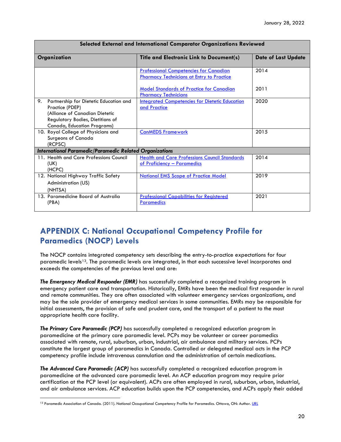| Selected External and International Comparator Organizations Reviewed                                                                                                |                                                                                                   |                            |  |  |
|----------------------------------------------------------------------------------------------------------------------------------------------------------------------|---------------------------------------------------------------------------------------------------|----------------------------|--|--|
| Organization                                                                                                                                                         | Title and Electronic Link to Document(s)                                                          | <b>Date of Last Update</b> |  |  |
|                                                                                                                                                                      | <b>Professional Competencies for Canadian</b><br><b>Pharmacy Technicians at Entry to Practice</b> | 2014                       |  |  |
|                                                                                                                                                                      | <b>Model Standards of Practice for Canadian</b><br><b>Pharmacy Technicians</b>                    | 2011                       |  |  |
| 9.<br>Partnership for Dietetic Education and<br>Practice (PDEP)<br>(Alliance of Canadian Dietetic<br>Regulatory Bodies, Dietitians of<br>Canada, Education Programs) | <b>Integrated Competencies for Dietetic Education</b><br>and Practice                             | 2020                       |  |  |
| 10. Royal College of Physicians and<br>Surgeons of Canada<br>(RCPSC)                                                                                                 | <b>CanMEDS Framework</b>                                                                          | 2015                       |  |  |
| <b>International Paramedic/Paramedic Related Organizations</b>                                                                                                       |                                                                                                   |                            |  |  |
| 11. Health and Care Professions Council<br>(UK)<br>(HCPC)                                                                                                            | <b>Health and Care Professions Council Standards</b><br>of Proficiency - Paramedics               | 2014                       |  |  |
| 12. National Highway Traffic Safety<br>Administration (US)<br>(NHTSA)                                                                                                | <b>National EMS Scope of Practice Model</b>                                                       | 2019                       |  |  |
| 13. Paramedicine Board of Australia<br>(PBA)                                                                                                                         | <b>Professional Capabilities for Registered</b><br><b>Paramedics</b>                              | 2021                       |  |  |

#### **Selected External and International Comparator Organizations Reviewed**

## <span id="page-24-0"></span>**APPENDIX C: National Occupational Competency Profile for Paramedics (NOCP) Levels**

The NOCP contains integrated competency sets describing the entry-to-practice expectations for four paramedic levels<sup>13</sup>. The paramedic levels are integrated, in that each successive level incorporates and exceeds the competencies of the previous level and are:

*The Emergency Medical Responder (EMR)* has successfully completed a recognized training program in emergency patient care and transportation. Historically, EMRs have been the medical first responder in rural and remote communities. They are often associated with volunteer emergency services organizations, and may be the sole provider of emergency medical services in some communities. EMRs may be responsible for initial assessments, the provision of safe and prudent care, and the transport of a patient to the most appropriate health care facility.

*The Primary Care Paramedic (PCP)* has successfully completed a recognized education program in paramedicine at the primary care paramedic level. PCPs may be volunteer or career paramedics associated with remote, rural, suburban, urban, industrial, air ambulance and military services. PCPs constitute the largest group of paramedics in Canada. Controlled or delegated medical acts in the PCP competency profile include intravenous cannulation and the administration of certain medications.

*The Advanced Care Paramedic (ACP)* has successfully completed a recognized education program in paramedicine at the advanced care paramedic level. An ACP education program may require prior certification at the PCP level (or equivalent). ACPs are often employed in rural, suburban, urban, industrial, and air ambulance services. ACP education builds upon the PCP competencies, and ACPs apply their added

<span id="page-24-1"></span><sup>13</sup> Paramedic Association of Canada. (2011). National Occupational Competency Profile for Paramedics. Ottawa, ON: Author[. URL](https://www.paramedic.ca/uploaded/web/documents/2011-10-31-Approved-NOCP-English-Master.pdf)